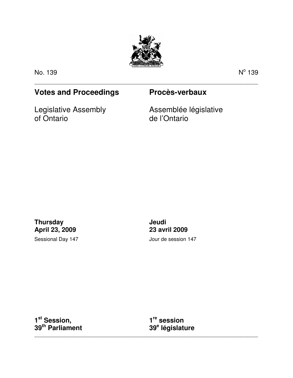

\_\_\_\_\_\_\_\_\_\_\_\_\_\_\_\_\_\_\_\_\_\_\_\_\_\_\_\_\_\_\_\_\_\_\_\_\_\_\_\_\_\_\_\_\_\_\_\_\_\_\_\_\_\_\_\_\_\_\_\_\_\_\_\_\_\_\_\_\_\_\_\_\_\_\_\_\_\_\_\_\_\_\_\_\_

No. 139 N

 $^{\circ}$  139

# **Votes and Proceedings Procès-verbaux**

Legislative Assembly of Ontario

Assemblée législative de l'Ontario

**Thursday April 23, 2009**  Sessional Day 147 **Jeudi 23 avril 2009**  Jour de session 147

**1 st Session, 39th Parliament** 

**1 re session 39<sup>e</sup> législature** 

\_\_\_\_\_\_\_\_\_\_\_\_\_\_\_\_\_\_\_\_\_\_\_\_\_\_\_\_\_\_\_\_\_\_\_\_\_\_\_\_\_\_\_\_\_\_\_\_\_\_\_\_\_\_\_\_\_\_\_\_\_\_\_\_\_\_\_\_\_\_\_\_\_\_\_\_\_\_\_\_\_\_\_\_\_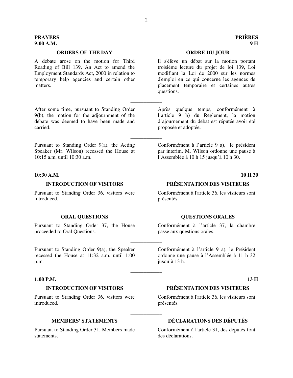# **PRAYERS PRIÈRES 9:00 A.M. 9 H**

### **ORDERS OF THE DAY ORDRE DU JOUR**

A debate arose on the motion for Third Reading of Bill 139, An Act to amend the Employment Standards Act, 2000 in relation to temporary help agencies and certain other matters.

After some time, pursuant to Standing Order 9(b), the motion for the adjournment of the debate was deemed to have been made and carried.

Pursuant to Standing Order 9(a), the Acting Speaker (Mr. Wilson) recessed the House at 10:15 a.m. until 10:30 a.m.

# **10:30 A.M. 10 H 30**

Pursuant to Standing Order 36, visitors were introduced.

Pursuant to Standing Order 37, the House proceeded to Oral Questions.

Pursuant to Standing Order 9(a), the Speaker recessed the House at 11:32 a.m. until 1:00 p.m.

### **1:00 P.M. 13 H**

Pursuant to Standing Order 36, visitors were introduced.

Pursuant to Standing Order 31, Members made statements.

Il s'élève un débat sur la motion portant troisième lecture du projet de loi 139, Loi modifiant la Loi de 2000 sur les normes d'emploi en ce qui concerne les agences de placement temporaire et certaines autres questions.

Après quelque temps, conformément à l'article 9 b) du Règlement, la motion d'ajournement du débat est réputée avoir été proposée et adoptée.

Conformément à l'article 9 a), le président par interim, M. Wilson ordonne une pause à l'Assemblée à 10 h 15 jusqu'à 10 h 30.

# **INTRODUCTION OF VISITORS PRÉSENTATION DES VISITEURS**

Conformément à l'article 36, les visiteurs sont présentés.

### **ORAL QUESTIONS COUNTING ASSESSMENT OF A LOCAL CONSUMING A LOCAL CONSUMING A LOCAL CONSUMING A LOCAL CONSUMING A LOCAL CONSUMING A LOCAL CONSUMING A LOCAL CONSUMING A LOCAL CONSUMING A LOCAL CONSUMING A LOCAL CONSUMING A L**

Conformément à l'article 37, la chambre passe aux questions orales.

Conformément à l'article 9 a), le Président ordonne une pause à l'Assemblée à 11 h 32 jusqu'à 13 h.

# **INTRODUCTION OF VISITORS PRÉSENTATION DES VISITEURS**

Conformément à l'article 36, les visiteurs sont présentés.

# **MEMBERS' STATEMENTS DÉCLARATIONS DES DÉPUTÉS**

Conformément à l'article 31, des députés font des déclarations.

\_\_\_\_\_\_\_\_\_\_\_\_

\_\_\_\_\_\_\_\_\_\_\_\_

\_\_\_\_\_\_\_\_\_\_\_\_

\_\_\_\_\_\_\_\_\_\_\_\_

\_\_\_\_\_\_\_\_\_\_\_\_

\_\_\_\_\_\_\_\_\_\_\_\_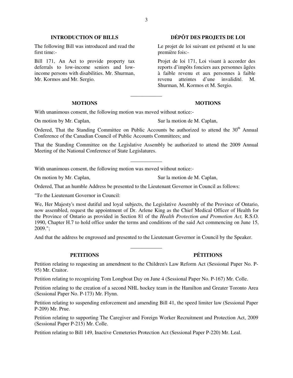# **INTRODUCTION OF BILLS DÉPÔT DES PROJETS DE LOI**

The following Bill was introduced and read the first time:-

Bill 171, An Act to provide property tax deferrals to low-income seniors and lowincome persons with disabilities. Mr. Shurman, Mr. Kormos and Mr. Sergio.

### **MOTIONS MOTIONS**

Le projet de loi suivant est présenté et lu une première fois:-

Projet de loi 171, Loi visant à accorder des reports d'impôts fonciers aux personnes âgées à faible revenu et aux personnes à faible revenu atteintes d'une invalidité. M. Shurman, M. Kormos et M. Sergio.

With unanimous consent, the following motion was moved without notice:-

On motion by Mr. Caplan, Sur la motion de M. Caplan,

Ordered, That the Standing Committee on Public Accounts be authorized to attend the  $30<sup>th</sup>$  Annual Conference of the Canadian Council of Public Accounts Committees; and

\_\_\_\_\_\_\_\_\_\_\_\_

That the Standing Committee on the Legislative Assembly be authorized to attend the 2009 Annual Meeting of the National Conference of State Legislatures.

\_\_\_\_\_\_\_\_\_\_\_\_

With unanimous consent, the following motion was moved without notice:-

On motion by Mr. Caplan, Sur la motion de M. Caplan,

Ordered, That an humble Address be presented to the Lieutenant Governor in Council as follows:

"To the Lieutenant Governor in Council:

We, Her Majesty's most dutiful and loyal subjects, the Legislative Assembly of the Province of Ontario, now assembled, request the appointment of Dr. Arlene King as the Chief Medical Officer of Health for the Province of Ontario as provided in Section 81 of the *Health Protection and Promotion Act,* R.S.O. 1990, Chapter H.7 to hold office under the terms and conditions of the said Act commencing on June 15, 2009.";

And that the address be engrossed and presented to the Lieutenant Governor in Council by the Speaker.

# **PETITIONS PÉTITIONS**

Petition relating to requesting an amendment to the Children's Law Reform Act (Sessional Paper No. P-95) Mr. Craitor.

\_\_\_\_\_\_\_\_\_\_\_\_

Petition relating to recognizing Tom Longboat Day on June 4 (Sessional Paper No. P-167) Mr. Colle.

Petition relating to the creation of a second NHL hockey team in the Hamilton and Greater Toronto Area (Sessional Paper No. P-173) Mr. Flynn.

Petition relating to suspending enforcement and amending Bill 41, the speed limiter law (Sessional Paper P-209) Mr. Prue.

Petition relating to supporting The Caregiver and Foreign Worker Recruitment and Protection Act, 2009 (Sessional Paper P-215) Mr. Colle.

Petition relating to Bill 149, Inactive Cemeteries Protection Act (Sessional Paper P-220) Mr. Leal.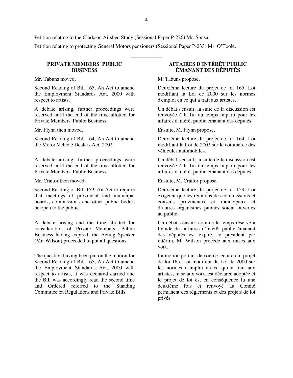Petition relating to the Clarkson Airshed Study (Sessional Paper P-226) Mr. Sousa. Petition relating to protecting General Motors pensioners (Sessional Paper P-233) Mr. O'Toole.

# **PRIVATE MEMBERS' PUBLIC BUSINESS**

Mr. Tabuns moved, M. Tabuns propose,

Second Reading of Bill 165, An Act to amend the Employment Standards Act, 2000 with respect to artists.

A debate arising, further proceedings were reserved until the end of the time allotted for Private Members' Public Business.

Second Reading of Bill 164, An Act to amend the Motor Vehicle Dealers Act, 2002.

A debate arising, further proceedings were reserved until the end of the time allotted for Private Members' Public Business.

Second Reading of Bill 159, An Act to require that meetings of provincial and municipal boards, commissions and other public bodies be open to the public.

A debate arising and the time allotted for consideration of Private Members' Public Business having expired, the Acting Speaker (Mr. Wilson) proceeded to put all questions.

The question having been put on the motion for Second Reading of Bill 165, An Act to amend the Employment Standards Act, 2000 with respect to artists, it was declared carried and the Bill was accordingly read the second time and Ordered referred to the Standing Committee on Regulations and Private Bills.

# **AFFAIRES D'INTÉRÊT PUBLIC ÉMANANT DES DÉPUTÉS**

Deuxième lecture du projet de loi 165, Loi modifiant la Loi de 2000 sur les normes d'emploi en ce qui a trait aux artistes.

Un débat s'ensuit; la suite de la discussion est renvoyée à la fin du temps imparti pour les affaires d'intérêt public émanant des députés.

Mr. Flynn then moved, Ensuite, M. Flynn propose,

Deuxième lecture du projet de loi 164, Loi modifiant la Loi de 2002 sur le commerce des véhicules automobiles.

Un débat s'ensuit; la suite de la discussion est renvoyée à la fin du temps imparti pour les affaires d'intérêt public émanant des députés.

Mr. Craitor then moved, Ensuite, M. Craitor propose,

Deuxième lecture du projet de loi 159, Loi exigeant que les réunions des commissions et conseils provinciaux et municipaux et d'autres organismes publics soient ouvertes au public.

Un débat s'ensuit; comme le temps réservé à l'étude des affaires d'intérêt public émanant des députés est expiré, le président par intérim, M. Wilson procède aux mises aux voix.

La motion portant deuxième lecture du projet de loi 165, Loi modifiant la Loi de 2000 sur les normes d'emploi en ce qui a trait aux artistes, mise aux voix, est déclarée adoptée et le projet de loi est en conséquence lu une deuxième fois et renvoyé au Comité permanent des règlements et des projets de loi privés.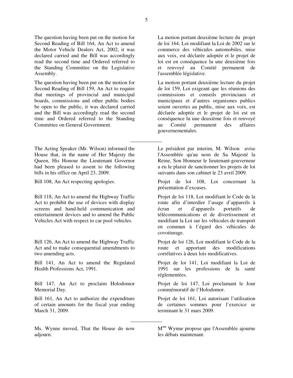The question having been put on the motion for Second Reading of Bill 164, An Act to amend the Motor Vehicle Dealers Act, 2002, it was declared carried and the Bill was accordingly read the second time and Ordered referred to the Standing Committee on the Legislative Assembly.

The question having been put on the motion for Second Reading of Bill 159, An Act to require that meetings of provincial and municipal boards, commissions and other public bodies be open to the public, it was declared carried and the Bill was accordingly read the second time and Ordered referred to the Standing Committee on General Government.

The Acting Speaker (Mr. Wilson) informed the House that, in the name of Her Majesty the Queen, His Honour the Lieutenant Governor had been pleased to assent to the following bills in his office on April 23, 2009.

Bill 118, An Act to amend the Highway Traffic Act to prohibit the use of devices with display screens and hand-held communication and entertainment devices and to amend the Public Vehicles Act with respect to car pool vehicles.

Bill 126, An Act to amend the Highway Traffic Act and to make consequential amendments to two amending acts.

Bill 141, An Act to amend the Regulated Health Professions Act, 1991.

Bill 147, An Act to proclaim Holodomor Memorial Day.

Bill 161, An Act to authorize the expenditure of certain amounts for the fiscal year ending March 31, 2009.

Ms. Wynne moved, That the House do now adjourn.

La motion portant deuxième lecture du projet de loi 164, Loi modifiant la Loi de 2002 sur le commerce des véhicules automobiles, mise aux voix, est déclarée adoptée et le projet de loi est en conséquence lu une deuxième fois et renvoyé au Comité permanent de l'assemblée législative.

La motion portant deuxième lecture du projet de loi 159, Loi exigeant que les réunions des commissions et conseils provinciaux et municipaux et d'autres organismes publics soient ouvertes au public, mise aux voix, est déclarée adoptée et le projet de loi est en conséquence lu une deuxième fois et renvoyé au Comité permanent des affaires gouvernementales.

Le président par interim, M. Wilson avise l'Assemblée qu'au nom de Sa Majesté la Reine, Son Honneur le lieutenant-gouverneur a eu le plaisir de sanctionner les projets de loi suivants dans son cabinet le 23 avril 2009.

Bill 108, An Act respecting apologies. Projet de loi 108, Loi concernant la présentation d'excuses.

> Projet de loi 118, Loi modifiant le Code de la route afin d'interdire l'usage d'appareils à écran et d'appareils portatifs de télécommunications et de divertissement et modifiant la Loi sur les véhicules de transport en commun à l'égard des véhicules de covoiturage.

> Projet de loi 126, Loi modifiant le Code de la route et apportant des modifications corrélatives à deux lois modificatives.

> Projet de loi 141, Loi modifiant la Loi de 1991 sur les professions de la santé réglementées.

> Projet de loi 147, Loi proclamant le Jour commémoratif de l'Holodomor.

> Projet de loi 161, Loi autorisant l'utilisation de certaines sommes pour l'exercice se terminant le 31 mars 2009.

\_\_\_\_\_\_\_\_\_\_\_\_

M me Wynne propose que l'Assemblée ajourne les débats maintenant.